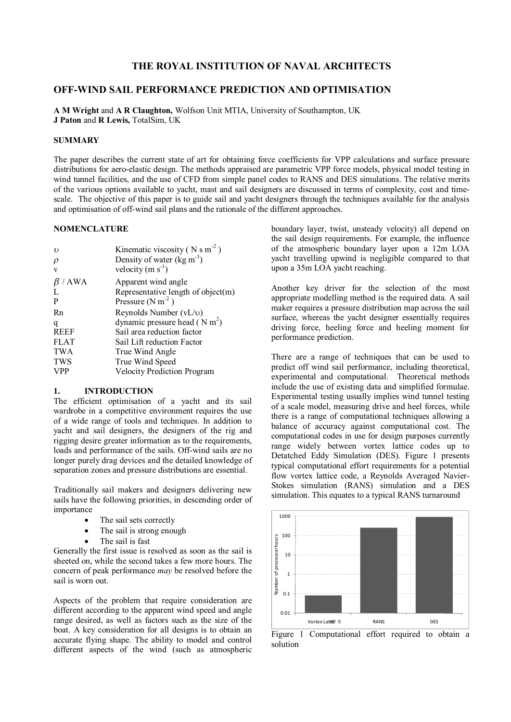# **THE ROYAL INSTITUTION OF NAVAL ARCHITECTS**

# **OFF-WIND SAIL PERFORMANCE PREDICTION AND OPTIMISATION**

**A M Wright** and **A R Claughton,** Wolfson Unit MTIA, University of Southampton, UK **J Paton** and **R Lewis,** TotalSim, UK

### **SUMMARY**

The paper describes the current state of art for obtaining force coefficients for VPP calculations and surface pressure distributions for aero-elastic design. The methods appraised are parametric VPP force models, physical model testing in wind tunnel facilities, and the use of CFD from simple panel codes to RANS and DES simulations. The relative merits of the various options available to yacht, mast and sail designers are discussed in terms of complexity, cost and timescale. The objective of this paper is to guide sail and yacht designers through the techniques available for the analysis and optimisation of off-wind sail plans and the rationale of the different approaches.

### **NOMENCLATURE**

| $\mathbf{v}$ | Kinematic viscosity ( $N s m-2$ )     |
|--------------|---------------------------------------|
| $\rho$       | Density of water $(kg m-3)$           |
| V            | velocity (m $s^{-1}$ )                |
| / AWA<br>ß   | Apparent wind angle                   |
|              | Representative length of object $(m)$ |
| P            | Pressure $(N m-2)$                    |
| Rn           | Reynolds Number $(vL/v)$              |
| q            | dynamic pressure head $(N m^2)$       |
| <b>REEF</b>  | Sail area reduction factor            |
| <b>FLAT</b>  | Sail Lift reduction Factor            |
| <b>TWA</b>   | True Wind Angle                       |
| <b>TWS</b>   | True Wind Speed                       |
| <b>VPP</b>   | <b>Velocity Prediction Program</b>    |

#### **1. INTRODUCTION**

The efficient optimisation of a yacht and its sail wardrobe in a competitive environment requires the use of a wide range of tools and techniques. In addition to yacht and sail designers, the designers of the rig and rigging desire greater information as to the requirements, loads and performance of the sails. Off-wind sails are no longer purely drag devices and the detailed knowledge of separation zones and pressure distributions are essential.

Traditionally sail makers and designers delivering new sails have the following priorities, in descending order of importance

- The sail sets correctly
- The sail is strong enough
	- The sail is fast

Generally the first issue is resolved as soon as the sail is sheeted on, while the second takes a few more hours. The concern of peak performance *may* be resolved before the sail is worn out.

Aspects of the problem that require consideration are different according to the apparent wind speed and angle range desired, as well as factors such as the size of the boat. A key consideration for all designs is to obtain an accurate flying shape. The ability to model and control different aspects of the wind (such as atmospheric

boundary layer, twist, unsteady velocity) all depend on the sail design requirements. For example, the influence of the atmospheric boundary layer upon a 12m LOA yacht travelling upwind is negligible compared to that upon a 35m LOA yacht reaching.

Another key driver for the selection of the most appropriate modelling method is the required data. A sail maker requires a pressure distribution map across the sail surface, whereas the yacht designer essentially requires driving force, heeling force and heeling moment for performance prediction.

There are a range of techniques that can be used to predict off wind sail performance, including theoretical, experimental and computational. Theoretical methods include the use of existing data and simplified formulae. Experimental testing usually implies wind tunnel testing of a scale model, measuring drive and heel forces, while there is a range of computational techniques allowing a balance of accuracy against computational cost. The computational codes in use for design purposes currently range widely between vortex lattice codes up to Detatched Eddy Simulation (DES). Figure 1 presents typical computational effort requirements for a potential flow vortex lattice code, a Reynolds Averaged Navier-Stokes simulation (RANS) simulation and a DES simulation. This equates to a typical RANS turnaround



Figure 1 Computational effort required to obtain a solution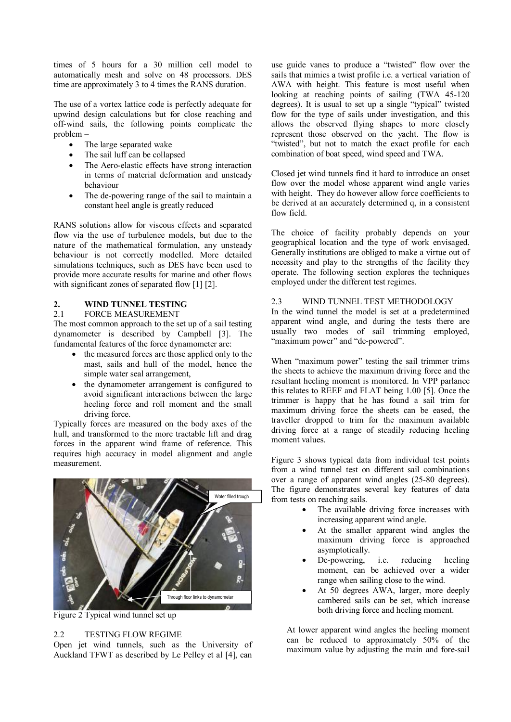times of 5 hours for a 30 million cell model to automatically mesh and solve on 48 processors. DES time are approximately 3 to 4 times the RANS duration.

The use of a vortex lattice code is perfectly adequate for upwind design calculations but for close reaching and off-wind sails, the following points complicate the problem –

- The large separated wake
- The sail luff can be collapsed
- The Aero-elastic effects have strong interaction in terms of material deformation and unsteady behaviour
- The de-powering range of the sail to maintain a constant heel angle is greatly reduced

RANS solutions allow for viscous effects and separated flow via the use of turbulence models, but due to the nature of the mathematical formulation, any unsteady behaviour is not correctly modelled. More detailed simulations techniques, such as DES have been used to provide more accurate results for marine and other flows with significant zones of separated flow [1] [2].

# **2. WIND TUNNEL TESTING**

### 2.1 FORCE MEASUREMENT

The most common approach to the set up of a sail testing dynamometer is described by Campbell [3]. The fundamental features of the force dynamometer are:

- the measured forces are those applied only to the mast, sails and hull of the model, hence the simple water seal arrangement,
- · the dynamometer arrangement is configured to avoid significant interactions between the large heeling force and roll moment and the small driving force.

Typically forces are measured on the body axes of the hull, and transformed to the more tractable lift and drag forces in the apparent wind frame of reference. This requires high accuracy in model alignment and angle measurement.



Figure 2 Typical wind tunnel set up

### 2.2 TESTING FLOW REGIME

Open jet wind tunnels, such as the University of Auckland TFWT as described by Le Pelley et al [4], can

use guide vanes to produce a "twisted" flow over the sails that mimics a twist profile i.e. a vertical variation of AWA with height. This feature is most useful when looking at reaching points of sailing (TWA 45-120 degrees). It is usual to set up a single "typical" twisted flow for the type of sails under investigation, and this allows the observed flying shapes to more closely represent those observed on the yacht. The flow is "twisted", but not to match the exact profile for each combination of boat speed, wind speed and TWA.

Closed jet wind tunnels find it hard to introduce an onset flow over the model whose apparent wind angle varies with height. They do however allow force coefficients to be derived at an accurately determined q, in a consistent flow field.

The choice of facility probably depends on your geographical location and the type of work envisaged. Generally institutions are obliged to make a virtue out of necessity and play to the strengths of the facility they operate. The following section explores the techniques employed under the different test regimes.

# 2.3 WIND TUNNEL TEST METHODOLOGY

In the wind tunnel the model is set at a predetermined apparent wind angle, and during the tests there are usually two modes of sail trimming employed, "maximum power" and "de-powered".

When "maximum power" testing the sail trimmer trims the sheets to achieve the maximum driving force and the resultant heeling moment is monitored. In VPP parlance this relates to REEF and FLAT being 1.00 [5]. Once the trimmer is happy that he has found a sail trim for maximum driving force the sheets can be eased, the traveller dropped to trim for the maximum available driving force at a range of steadily reducing heeling moment values.

Figure 3 shows typical data from individual test points from a wind tunnel test on different sail combinations over a range of apparent wind angles (25-80 degrees). The figure demonstrates several key features of data from tests on reaching sails.

- The available driving force increases with increasing apparent wind angle.
- At the smaller apparent wind angles the maximum driving force is approached asymptotically.
- De-powering, i.e. reducing heeling moment, can be achieved over a wider range when sailing close to the wind.
- At 50 degrees AWA, larger, more deeply cambered sails can be set, which increase both driving force and heeling moment.

At lower apparent wind angles the heeling moment can be reduced to approximately 50% of the maximum value by adjusting the main and fore-sail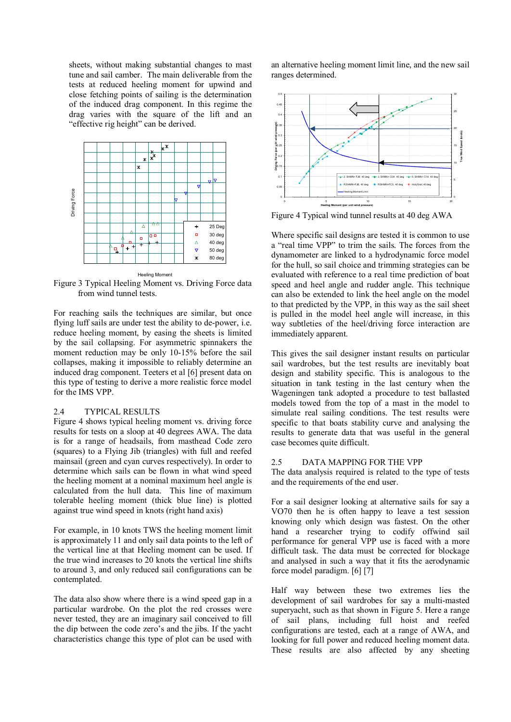sheets, without making substantial changes to mast tune and sail camber. The main deliverable from the tests at reduced heeling moment for upwind and close fetching points of sailing is the determination of the induced drag component. In this regime the drag varies with the square of the lift and an "effective rig height" can be derived.



Figure 3 Typical Heeling Moment vs. Driving Force data from wind tunnel tests.

For reaching sails the techniques are similar, but once flying luff sails are under test the ability to de-power, i.e. reduce heeling moment, by easing the sheets is limited by the sail collapsing. For asymmetric spinnakers the moment reduction may be only 10-15% before the sail collapses, making it impossible to reliably determine an induced drag component. Teeters et al [6] present data on this type of testing to derive a more realistic force model for the IMS VPP.

### 2.4 TYPICAL RESULTS

Figure 4 shows typical heeling moment vs. driving force results for tests on a sloop at 40 degrees AWA. The data is for a range of headsails, from masthead Code zero (squares) to a Flying Jib (triangles) with full and reefed mainsail (green and cyan curves respectively). In order to determine which sails can be flown in what wind speed the heeling moment at a nominal maximum heel angle is calculated from the hull data. This line of maximum tolerable heeling moment (thick blue line) is plotted against true wind speed in knots (right hand axis)

For example, in 10 knots TWS the heeling moment limit is approximately 11 and only sail data points to the left of the vertical line at that Heeling moment can be used. If the true wind increases to 20 knots the vertical line shifts to around 3, and only reduced sail configurations can be contemplated.

The data also show where there is a wind speed gap in a particular wardrobe. On the plot the red crosses were never tested, they are an imaginary sail conceived to fill the dip between the code zero's and the jibs. If the yacht characteristics change this type of plot can be used with

an alternative heeling moment limit line, and the new sail ranges determined.



Figure 4 Typical wind tunnel results at 40 deg AWA

Where specific sail designs are tested it is common to use a "real time VPP" to trim the sails. The forces from the dynamometer are linked to a hydrodynamic force model for the hull, so sail choice and trimming strategies can be evaluated with reference to a real time prediction of boat speed and heel angle and rudder angle. This technique can also be extended to link the heel angle on the model to that predicted by the VPP, in this way as the sail sheet is pulled in the model heel angle will increase, in this way subtleties of the heel/driving force interaction are immediately apparent.

This gives the sail designer instant results on particular sail wardrobes, but the test results are inevitably boat design and stability specific. This is analogous to the situation in tank testing in the last century when the Wageningen tank adopted a procedure to test ballasted models towed from the top of a mast in the model to simulate real sailing conditions. The test results were specific to that boats stability curve and analysing the results to generate data that was useful in the general case becomes quite difficult.

#### 2.5 DATA MAPPING FOR THE VPP

The data analysis required is related to the type of tests and the requirements of the end user.

For a sail designer looking at alternative sails for say a VO70 then he is often happy to leave a test session knowing only which design was fastest. On the other hand a researcher trying to codify offwind sail performance for general VPP use is faced with a more difficult task. The data must be corrected for blockage and analysed in such a way that it fits the aerodynamic force model paradigm. [6] [7]

Half way between these two extremes lies the development of sail wardrobes for say a multi-masted superyacht, such as that shown in Figure 5. Here a range of sail plans, including full hoist and reefed configurations are tested, each at a range of AWA, and looking for full power and reduced heeling moment data. These results are also affected by any sheeting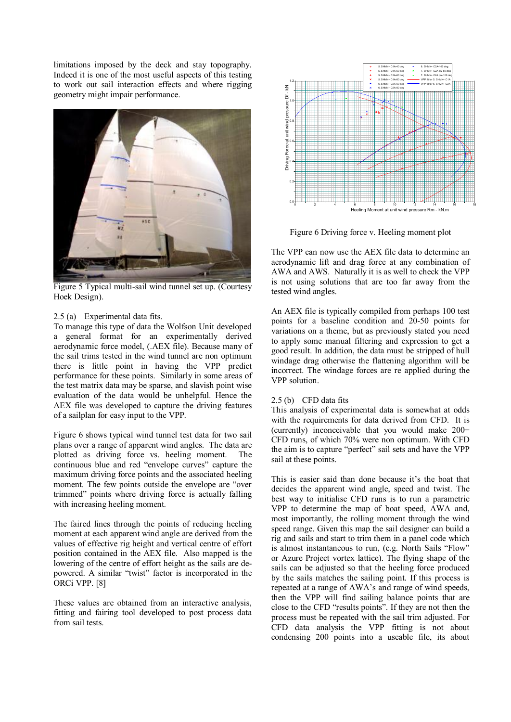limitations imposed by the deck and stay topography. Indeed it is one of the most useful aspects of this testing to work out sail interaction effects and where rigging geometry might impair performance.



Figure 5 Typical multi-sail wind tunnel set up. (Courtesy Hoek Design).

### 2.5 (a) Experimental data fits.

To manage this type of data the Wolfson Unit developed a general format for an experimentally derived aerodynamic force model, (.AEX file). Because many of the sail trims tested in the wind tunnel are non optimum there is little point in having the VPP predict performance for these points. Similarly in some areas of the test matrix data may be sparse, and slavish point wise evaluation of the data would be unhelpful. Hence the AEX file was developed to capture the driving features of a sailplan for easy input to the VPP.

Figure 6 shows typical wind tunnel test data for two sail plans over a range of apparent wind angles. The data are plotted as driving force vs. heeling moment. The continuous blue and red "envelope curves" capture the maximum driving force points and the associated heeling moment. The few points outside the envelope are "over trimmed" points where driving force is actually falling with increasing heeling moment.

The faired lines through the points of reducing heeling moment at each apparent wind angle are derived from the values of effective rig height and vertical centre of effort position contained in the AEX file. Also mapped is the lowering of the centre of effort height as the sails are depowered. A similar "twist" factor is incorporated in the ORCi VPP. [8]

These values are obtained from an interactive analysis, fitting and fairing tool developed to post process data from sail tests.



Figure 6 Driving force v. Heeling moment plot

The VPP can now use the AEX file data to determine an aerodynamic lift and drag force at any combination of AWA and AWS. Naturally it is as well to check the VPP is not using solutions that are too far away from the tested wind angles.

An AEX file is typically compiled from perhaps 100 test points for a baseline condition and 20-50 points for variations on a theme, but as previously stated you need to apply some manual filtering and expression to get a good result. In addition, the data must be stripped of hull windage drag otherwise the flattening algorithm will be incorrect. The windage forces are re applied during the VPP solution.

#### 2.5 (b) CFD data fits

This analysis of experimental data is somewhat at odds with the requirements for data derived from CFD. It is (currently) inconceivable that you would make 200+ CFD runs, of which 70% were non optimum. With CFD the aim is to capture "perfect" sail sets and have the VPP sail at these points.

This is easier said than done because it's the boat that decides the apparent wind angle, speed and twist. The best way to initialise CFD runs is to run a parametric VPP to determine the map of boat speed, AWA and, most importantly, the rolling moment through the wind speed range. Given this map the sail designer can build a rig and sails and start to trim them in a panel code which is almost instantaneous to run, (e.g. North Sails "Flow" or Azure Project vortex lattice). The flying shape of the sails can be adjusted so that the heeling force produced by the sails matches the sailing point. If this process is repeated at a range of AWA's and range of wind speeds, then the VPP will find sailing balance points that are close to the CFD "results points". If they are not then the process must be repeated with the sail trim adjusted. For CFD data analysis the VPP fitting is not about condensing 200 points into a useable file, its about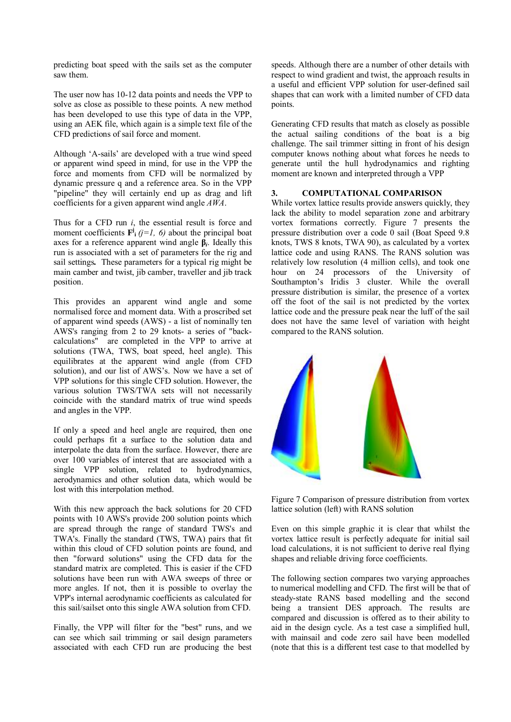predicting boat speed with the sails set as the computer saw them.

The user now has 10-12 data points and needs the VPP to solve as close as possible to these points. A new method has been developed to use this type of data in the VPP, using an AEK file, which again is a simple text file of the CFD predictions of sail force and moment.

Although 'A-sails' are developed with a true wind speed or apparent wind speed in mind, for use in the VPP the force and moments from CFD will be normalized by dynamic pressure q and a reference area. So in the VPP "pipeline" they will certainly end up as drag and lift coefficients for a given apparent wind angle *AWA*.

Thus for a CFD run *i*, the essential result is force and moment coefficients  $\mathbf{F}^j$  (*j*=*l*, *6*) about the principal boat axes for a reference apparent wind angle **β***<sup>i</sup>* . Ideally this run is associated with a set of parameters for the rig and sail settings*.* These parameters for a typical rig might be main camber and twist, jib camber, traveller and jib track position.

This provides an apparent wind angle and some normalised force and moment data. With a proscribed set of apparent wind speeds (AWS) - a list of nominally ten AWS's ranging from 2 to 29 knots- a series of "backcalculations" are completed in the VPP to arrive at solutions (TWA, TWS, boat speed, heel angle). This equilibrates at the apparent wind angle (from CFD solution), and our list of AWS's. Now we have a set of VPP solutions for this single CFD solution. However, the various solution TWS/TWA sets will not necessarily coincide with the standard matrix of true wind speeds and angles in the VPP.

If only a speed and heel angle are required, then one could perhaps fit a surface to the solution data and interpolate the data from the surface. However, there are over 100 variables of interest that are associated with a single VPP solution, related to hydrodynamics, aerodynamics and other solution data, which would be lost with this interpolation method.

With this new approach the back solutions for 20 CFD points with 10 AWS's provide 200 solution points which are spread through the range of standard TWS's and TWA's. Finally the standard (TWS, TWA) pairs that fit within this cloud of CFD solution points are found, and then "forward solutions" using the CFD data for the standard matrix are completed. This is easier if the CFD solutions have been run with AWA sweeps of three or more angles. If not, then it is possible to overlay the VPP's internal aerodynamic coefficients as calculated for this sail/sailset onto this single AWA solution from CFD.

Finally, the VPP will filter for the "best" runs, and we can see which sail trimming or sail design parameters associated with each CFD run are producing the best speeds. Although there are a number of other details with respect to wind gradient and twist, the approach results in a useful and efficient VPP solution for user-defined sail shapes that can work with a limited number of CFD data points.

Generating CFD results that match as closely as possible the actual sailing conditions of the boat is a big challenge. The sail trimmer sitting in front of his design computer knows nothing about what forces he needs to generate until the hull hydrodynamics and righting moment are known and interpreted through a VPP

### **3. COMPUTATIONAL COMPARISON**

While vortex lattice results provide answers quickly, they lack the ability to model separation zone and arbitrary vortex formations correctly. Figure 7 presents the pressure distribution over a code 0 sail (Boat Speed 9.8 knots, TWS 8 knots, TWA 90), as calculated by a vortex lattice code and using RANS. The RANS solution was relatively low resolution (4 million cells), and took one hour on 24 processors of the University of Southampton's Iridis 3 cluster. While the overall pressure distribution is similar, the presence of a vortex off the foot of the sail is not predicted by the vortex lattice code and the pressure peak near the luff of the sail does not have the same level of variation with height compared to the RANS solution.



Figure 7 Comparison of pressure distribution from vortex lattice solution (left) with RANS solution

Even on this simple graphic it is clear that whilst the vortex lattice result is perfectly adequate for initial sail load calculations, it is not sufficient to derive real flying shapes and reliable driving force coefficients.

The following section compares two varying approaches to numerical modelling and CFD. The first will be that of steady-state RANS based modelling and the second being a transient DES approach. The results are compared and discussion is offered as to their ability to aid in the design cycle. As a test case a simplified hull, with mainsail and code zero sail have been modelled (note that this is a different test case to that modelled by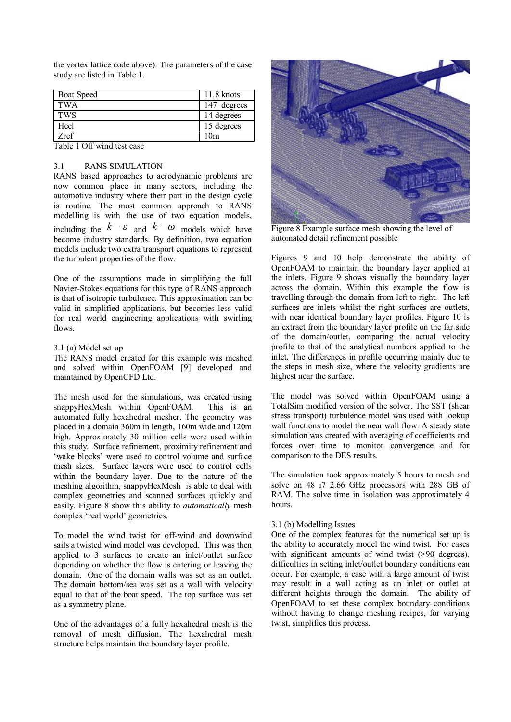the vortex lattice code above). The parameters of the case study are listed in Table 1.

| <b>Boat Speed</b> | $11.8 \text{ knots}$ |
|-------------------|----------------------|
| <b>TWA</b>        | 147 degrees          |
| <b>TWS</b>        | 14 degrees           |
| Heel              | 15 degrees           |
| Zref              | 10 <sub>m</sub>      |

Table 1 Off wind test case

#### 3.1 RANS SIMULATION

RANS based approaches to aerodynamic problems are now common place in many sectors, including the automotive industry where their part in the design cycle is routine. The most common approach to RANS modelling is with the use of two equation models, including the  $k - \varepsilon$  and  $k - \omega$  models which have become industry standards. By definition, two equation models include two extra transport equations to represent the turbulent properties of the flow.

One of the assumptions made in simplifying the full Navier-Stokes equations for this type of RANS approach is that of isotropic turbulence. This approximation can be valid in simplified applications, but becomes less valid for real world engineering applications with swirling flows.

### 3.1 (a) Model set up

The RANS model created for this example was meshed and solved within OpenFOAM [9] developed and maintained by OpenCFD Ltd.

The mesh used for the simulations, was created using snappyHexMesh within OpenFOAM. This is an automated fully hexahedral mesher. The geometry was placed in a domain 360m in length, 160m wide and 120m high. Approximately 30 million cells were used within this study. Surface refinement, proximity refinement and 'wake blocks' were used to control volume and surface mesh sizes. Surface layers were used to control cells within the boundary layer. Due to the nature of the meshing algorithm, snappyHexMesh is able to deal with complex geometries and scanned surfaces quickly and easily. Figure 8 show this ability to *automatically* mesh complex 'real world' geometries.

To model the wind twist for off-wind and downwind sails a twisted wind model was developed. This was then applied to 3 surfaces to create an inlet/outlet surface depending on whether the flow is entering or leaving the domain. One of the domain walls was set as an outlet. The domain bottom/sea was set as a wall with velocity equal to that of the boat speed. The top surface was set as a symmetry plane.

One of the advantages of a fully hexahedral mesh is the removal of mesh diffusion. The hexahedral mesh structure helps maintain the boundary layer profile.



Figure 8 Example surface mesh showing the level of automated detail refinement possible

Figures 9 and 10 help demonstrate the ability of OpenFOAM to maintain the boundary layer applied at the inlets. Figure 9 shows visually the boundary layer across the domain. Within this example the flow is travelling through the domain from left to right. The left surfaces are inlets whilst the right surfaces are outlets, with near identical boundary layer profiles. Figure 10 is an extract from the boundary layer profile on the far side of the domain/outlet, comparing the actual velocity profile to that of the analytical numbers applied to the inlet. The differences in profile occurring mainly due to the steps in mesh size, where the velocity gradients are highest near the surface.

The model was solved within OpenFOAM using a TotalSim modified version of the solver. The SST (shear stress transport) turbulence model was used with lookup wall functions to model the near wall flow. A steady state simulation was created with averaging of coefficients and forces over time to monitor convergence and for comparison to the DES results.

The simulation took approximately 5 hours to mesh and solve on 48 i7 2.66 GHz processors with 288 GB of RAM. The solve time in isolation was approximately 4 hours.

### 3.1 (b) Modelling Issues

One of the complex features for the numerical set up is the ability to accurately model the wind twist. For cases with significant amounts of wind twist (>90 degrees), difficulties in setting inlet/outlet boundary conditions can occur. For example, a case with a large amount of twist may result in a wall acting as an inlet or outlet at different heights through the domain. The ability of OpenFOAM to set these complex boundary conditions without having to change meshing recipes, for varying twist, simplifies this process.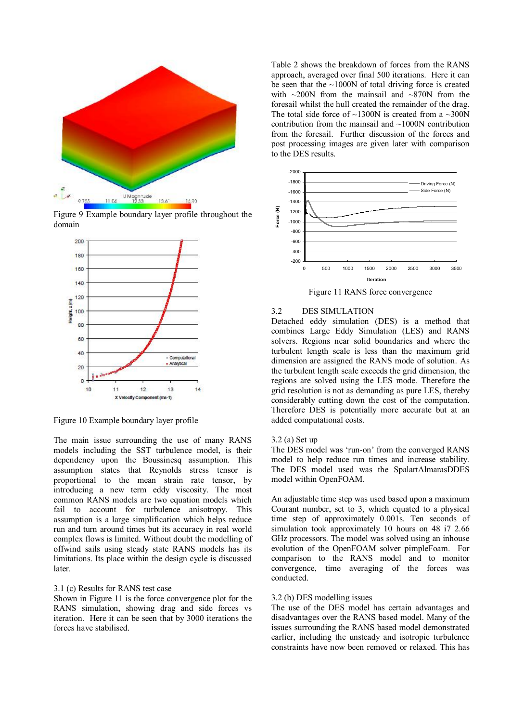

Figure 9 Example boundary layer profile throughout the domain



Figure 10 Example boundary layer profile

The main issue surrounding the use of many RANS models including the SST turbulence model, is their dependency upon the Boussinesq assumption. This assumption states that Reynolds stress tensor is proportional to the mean strain rate tensor, by introducing a new term eddy viscosity. The most common RANS models are two equation models which fail to account for turbulence anisotropy. This assumption is a large simplification which helps reduce run and turn around times but its accuracy in real world complex flows is limited. Without doubt the modelling of offwind sails using steady state RANS models has its limitations. Its place within the design cycle is discussed later.

### 3.1 (c) Results for RANS test case

Shown in Figure 11 is the force convergence plot for the RANS simulation, showing drag and side forces vs iteration. Here it can be seen that by 3000 iterations the forces have stabilised.

Table 2 shows the breakdown of forces from the RANS approach, averaged over final 500 iterations. Here it can be seen that the  $\sim$ 1000N of total driving force is created with  $\sim$ 200N from the mainsail and  $\sim$ 870N from the foresail whilst the hull created the remainder of the drag. The total side force of  $\sim$ 1300N is created from a  $\sim$ 300N contribution from the mainsail and ~1000N contribution from the foresail. Further discussion of the forces and post processing images are given later with comparison to the DES results.



Figure 11 RANS force convergence

### 3.2 DES SIMULATION

Detached eddy simulation (DES) is a method that combines Large Eddy Simulation (LES) and RANS solvers. Regions near solid boundaries and where the turbulent length scale is less than the maximum grid dimension are assigned the RANS mode of solution. As the turbulent length scale exceeds the grid dimension, the regions are solved using the LES mode. Therefore the grid resolution is not as demanding as pure LES, thereby considerably cutting down the cost of the computation. Therefore DES is potentially more accurate but at an added computational costs.

#### 3.2 (a) Set up

The DES model was 'run-on' from the converged RANS model to help reduce run times and increase stability. The DES model used was the SpalartAlmarasDDES model within OpenFOAM.

An adjustable time step was used based upon a maximum Courant number, set to 3, which equated to a physical time step of approximately 0.001s. Ten seconds of simulation took approximately 10 hours on 48 i7 2.66 GHz processors. The model was solved using an inhouse evolution of the OpenFOAM solver pimpleFoam. For comparison to the RANS model and to monitor convergence, time averaging of the forces was conducted.

### 3.2 (b) DES modelling issues

The use of the DES model has certain advantages and disadvantages over the RANS based model. Many of the issues surrounding the RANS based model demonstrated earlier, including the unsteady and isotropic turbulence constraints have now been removed or relaxed. This has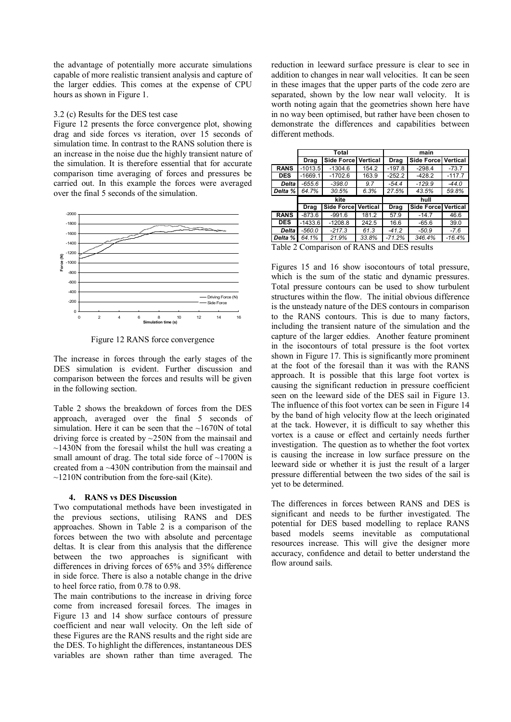the advantage of potentially more accurate simulations capable of more realistic transient analysis and capture of the larger eddies. This comes at the expense of CPU hours as shown in Figure 1.

#### 3.2 (c) Results for the DES test case

Figure 12 presents the force convergence plot, showing drag and side forces vs iteration, over 15 seconds of simulation time. In contrast to the RANS solution there is an increase in the noise due the highly transient nature of the simulation. It is therefore essential that for accurate comparison time averaging of forces and pressures be carried out. In this example the forces were averaged over the final 5 seconds of the simulation.



Figure 12 RANS force convergence

The increase in forces through the early stages of the DES simulation is evident. Further discussion and comparison between the forces and results will be given in the following section.

Table 2 shows the breakdown of forces from the DES approach, averaged over the final 5 seconds of simulation. Here it can be seen that the  $\sim1670N$  of total driving force is created by ~250N from the mainsail and  $\sim$ 1430N from the foresail whilst the hull was creating a small amount of drag. The total side force of  $\sim$ 1700N is created from a ~430N contribution from the mainsail and  $\sim$ 1210N contribution from the fore-sail (Kite).

### **4. RANS vs DES Discussion**

Two computational methods have been investigated in the previous sections, utilising RANS and DES approaches. Shown in Table 2 is a comparison of the forces between the two with absolute and percentage deltas. It is clear from this analysis that the difference between the two approaches is significant with differences in driving forces of 65% and 35% difference in side force. There is also a notable change in the drive to heel force ratio, from 0.78 to 0.98.

The main contributions to the increase in driving force come from increased foresail forces. The images in Figure 13 and 14 show surface contours of pressure coefficient and near wall velocity. On the left side of these Figures are the RANS results and the right side are the DES. To highlight the differences, instantaneous DES variables are shown rather than time averaged. The

reduction in leeward surface pressure is clear to see in addition to changes in near wall velocities. It can be seen in these images that the upper parts of the code zero are separated, shown by the low near wall velocity. It is worth noting again that the geometries shown here have in no way been optimised, but rather have been chosen to demonstrate the differences and capabilities between different methods.

|              | Total     |            |          | main     |                             |          |
|--------------|-----------|------------|----------|----------|-----------------------------|----------|
|              | Drag      | Side Force | Vertical | Drag     | <b>Side Forcel Vertical</b> |          |
| <b>RANS</b>  | $-1013.5$ | $-1304.6$  | 154.2    | $-197.8$ | $-298.4$                    | $-73.7$  |
| <b>DES</b>   | $-1669.1$ | $-1702.6$  | 163.9    | $-252.2$ | $-428.2$                    | $-117.7$ |
| <b>Delta</b> | -655.6    | $-398.0$   | 9.7      | $-54.4$  | $-129.9$                    | $-44.0$  |
| Delta %      | 64.7%     | 30.5%      | 6.3%     | 27.5%    | 43.5%                       | 59.8%    |
|              | kite      |            |          | hull     |                             |          |
|              | Drag      | Side Force | Vertical | Drag     | Side Force Vertical         |          |
| <b>RANS</b>  | $-873.6$  | $-991.6$   | 181.2    | 57.9     | $-14.7$                     | 46.6     |
| <b>DES</b>   | $-1433.6$ | $-1208.8$  | 242.5    | 16.6     | $-65.6$                     | 39.0     |
| Delta        | $-560.0$  | $-217.3$   | 61.3     | $-41.2$  | $-50.9$                     | $-7.6$   |
| Delta %      | 64.1%     | 21.9%      | 33.8%    | $-71.2%$ | 346.4%                      | $-16.4%$ |

Table 2 Comparison of RANS and DES results

Figures 15 and 16 show isocontours of total pressure, which is the sum of the static and dynamic pressures. Total pressure contours can be used to show turbulent structures within the flow. The initial obvious difference is the unsteady nature of the DES contours in comparison to the RANS contours. This is due to many factors, including the transient nature of the simulation and the capture of the larger eddies. Another feature prominent in the isocontours of total pressure is the foot vortex shown in Figure 17. This is significantly more prominent at the foot of the foresail than it was with the RANS approach. It is possible that this large foot vortex is causing the significant reduction in pressure coefficient seen on the leeward side of the DES sail in Figure 13. The influence of this foot vortex can be seen in Figure 14 by the band of high velocity flow at the leech originated at the tack. However, it is difficult to say whether this vortex is a cause or effect and certainly needs further investigation. The question as to whether the foot vortex is causing the increase in low surface pressure on the leeward side or whether it is just the result of a larger pressure differential between the two sides of the sail is yet to be determined.

The differences in forces between RANS and DES is significant and needs to be further investigated. The potential for DES based modelling to replace RANS based models seems inevitable as computational resources increase. This will give the designer more accuracy, confidence and detail to better understand the flow around sails.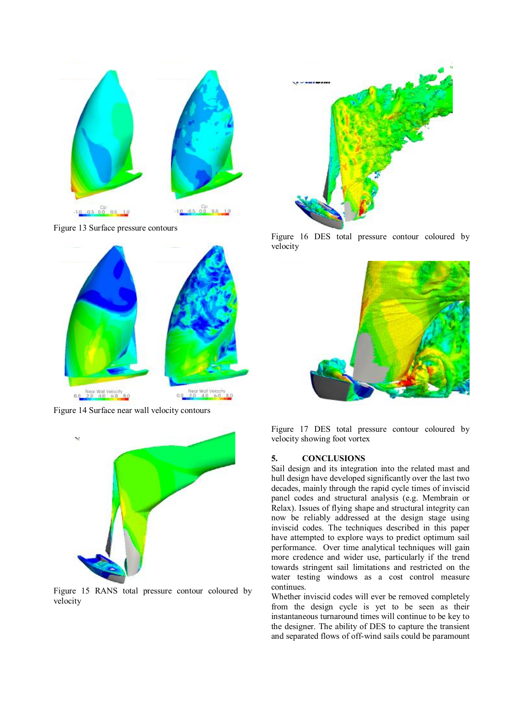

Figure 13 Surface pressure contours



Figure 14 Surface near wall velocity contours



Figure 15 RANS total pressure contour coloured by velocity



Figure 16 DES total pressure contour coloured by velocity



Figure 17 DES total pressure contour coloured by velocity showing foot vortex

# **5. CONCLUSIONS**

Sail design and its integration into the related mast and hull design have developed significantly over the last two decades, mainly through the rapid cycle times of inviscid panel codes and structural analysis (e.g. Membrain or Relax). Issues of flying shape and structural integrity can now be reliably addressed at the design stage using inviscid codes. The techniques described in this paper have attempted to explore ways to predict optimum sail performance. Over time analytical techniques will gain more credence and wider use, particularly if the trend towards stringent sail limitations and restricted on the water testing windows as a cost control measure continues.

Whether inviscid codes will ever be removed completely from the design cycle is yet to be seen as their instantaneous turnaround times will continue to be key to the designer. The ability of DES to capture the transient and separated flows of off-wind sails could be paramount